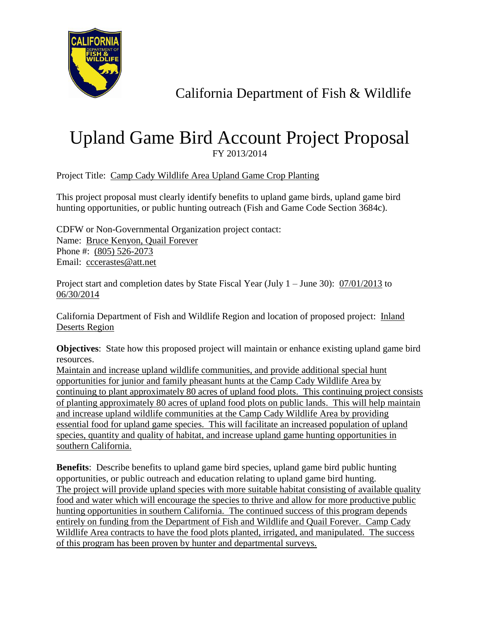

## California Department of Fish & Wildlife

## Upland Game Bird Account Project Proposal FY 2013/2014

Project Title: Camp Cady Wildlife Area Upland Game Crop Planting

This project proposal must clearly identify benefits to upland game birds, upland game bird hunting opportunities, or public hunting outreach (Fish and Game Code Section 3684c).

CDFW or Non-Governmental Organization project contact: Name: Bruce Kenyon, Quail Forever Phone #: (805) 526-2073 Email: cccerastes@att.net

Project start and completion dates by State Fiscal Year (July 1 – June 30):  $\frac{07}{01/2013}$  to 06/30/2014

California Department of Fish and Wildlife Region and location of proposed project: Inland Deserts Region

**Objectives**: State how this proposed project will maintain or enhance existing upland game bird resources.

Maintain and increase upland wildlife communities, and provide additional special hunt opportunities for junior and family pheasant hunts at the Camp Cady Wildlife Area by continuing to plant approximately 80 acres of upland food plots. This continuing project consists of planting approximately 80 acres of upland food plots on public lands. This will help maintain and increase upland wildlife communities at the Camp Cady Wildlife Area by providing essential food for upland game species. This will facilitate an increased population of upland species, quantity and quality of habitat, and increase upland game hunting opportunities in southern California.

**Benefits**: Describe benefits to upland game bird species, upland game bird public hunting opportunities, or public outreach and education relating to upland game bird hunting. The project will provide upland species with more suitable habitat consisting of available quality food and water which will encourage the species to thrive and allow for more productive public hunting opportunities in southern California. The continued success of this program depends entirely on funding from the Department of Fish and Wildlife and Quail Forever. Camp Cady Wildlife Area contracts to have the food plots planted, irrigated, and manipulated. The success of this program has been proven by hunter and departmental surveys.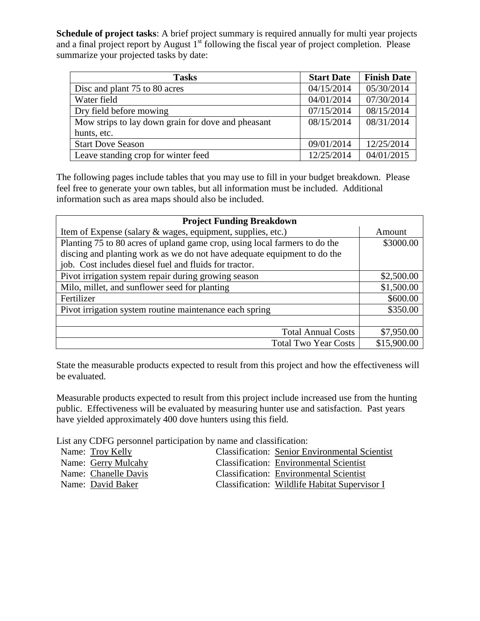**Schedule of project tasks**: A brief project summary is required annually for multi year projects and a final project report by August  $1<sup>st</sup>$  following the fiscal year of project completion. Please summarize your projected tasks by date:

| <b>Tasks</b>                                       | <b>Start Date</b> | <b>Finish Date</b> |
|----------------------------------------------------|-------------------|--------------------|
| Disc and plant 75 to 80 acres                      | 04/15/2014        | 05/30/2014         |
| Water field                                        | 04/01/2014        | 07/30/2014         |
| Dry field before mowing                            | 07/15/2014        | 08/15/2014         |
| Mow strips to lay down grain for dove and pheasant | 08/15/2014        | 08/31/2014         |
| hunts, etc.                                        |                   |                    |
| <b>Start Dove Season</b>                           | 09/01/2014        | 12/25/2014         |
| Leave standing crop for winter feed                | 12/25/2014        | 04/01/2015         |

The following pages include tables that you may use to fill in your budget breakdown. Please feel free to generate your own tables, but all information must be included. Additional information such as area maps should also be included.

| <b>Project Funding Breakdown</b>                                           |             |  |
|----------------------------------------------------------------------------|-------------|--|
| Item of Expense (salary & wages, equipment, supplies, etc.)                | Amount      |  |
| Planting 75 to 80 acres of upland game crop, using local farmers to do the | \$3000.00   |  |
| discing and planting work as we do not have adequate equipment to do the   |             |  |
| job. Cost includes diesel fuel and fluids for tractor.                     |             |  |
| Pivot irrigation system repair during growing season                       | \$2,500.00  |  |
| Milo, millet, and sunflower seed for planting                              | \$1,500.00  |  |
| Fertilizer                                                                 | \$600.00    |  |
| Pivot irrigation system routine maintenance each spring                    | \$350.00    |  |
|                                                                            |             |  |
| <b>Total Annual Costs</b>                                                  | \$7,950.00  |  |
| <b>Total Two Year Costs</b>                                                | \$15,900.00 |  |

State the measurable products expected to result from this project and how the effectiveness will be evaluated.

Measurable products expected to result from this project include increased use from the hunting public. Effectiveness will be evaluated by measuring hunter use and satisfaction. Past years have yielded approximately 400 dove hunters using this field.

List any CDFG personnel participation by name and classification:

| Name: Troy Kelly     | <b>Classification: Senior Environmental Scientist</b> |
|----------------------|-------------------------------------------------------|
| Name: Gerry Mulcahy  | <b>Classification: Environmental Scientist</b>        |
| Name: Chanelle Davis | <b>Classification: Environmental Scientist</b>        |
| Name: David Baker    | Classification: Wildlife Habitat Supervisor I         |